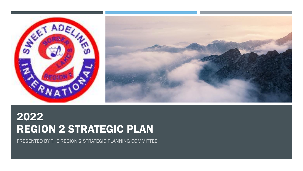



## 2022 REGION 2 STRATEGIC PLAN

PRESENTED BY THE REGION 2 STRATEGIC PLANNING COMMITTEE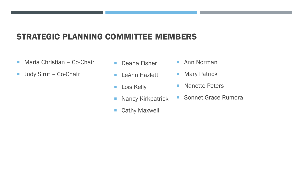### STRATEGIC PLANNING COMMITTEE MEMBERS

- **Maria Christian Co-Chair**
- **Judy Sirut Co-Chair**
- **Deana Fisher**
- **LeAnn Hazlett**
- **Lois Kelly**
- **Nancy Kirkpatrick**
- Cathy Maxwell
- Ann Norman
- **Mary Patrick**
- **Nanette Peters**
- **Sonnet Grace Rumora**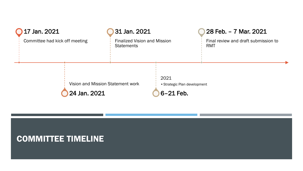| <b>17 Jan. 2021</b>            |                                                   | 31 Jan. 2021                                             |                                                     | 28 Feb. - 7 Mar. 2021                              |
|--------------------------------|---------------------------------------------------|----------------------------------------------------------|-----------------------------------------------------|----------------------------------------------------|
| Committee had kick off meeting |                                                   | <b>Finalized Vision and Mission</b><br><b>Statements</b> |                                                     | Final review and draft submission to<br><b>RMT</b> |
|                                | Vision and Mission Statement work<br>24 Jan. 2021 |                                                          | 2021<br>• Strategic Plan development<br>$6-21$ Feb. |                                                    |

#### COMMITTEE TIMELINE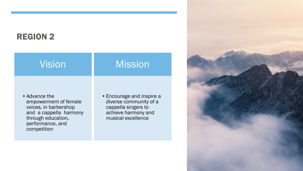### REGION 2

| Vision                                                                                                                                             | <b>Mission</b>                                                                                                          |
|----------------------------------------------------------------------------------------------------------------------------------------------------|-------------------------------------------------------------------------------------------------------------------------|
| • Advance the<br>empowerment of female<br>voices, in barbershop<br>and a cappella harmony<br>through education,<br>performance, and<br>competition | • Encourage and inspire a<br>diverse community of a<br>cappella singers to<br>achieve harmony and<br>musical excellence |

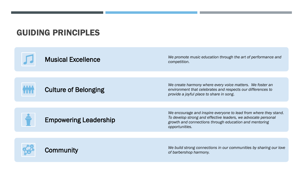#### GUIDING PRINCIPLES

Musical Excellence *We promote music education through the art of performance and competition.* 



#### Culture of Belonging

*We create harmony where every voice matters. We foster an environment that celebrates and respects our differences to provide a joyful place to share in song*.

Empowering Leadership

*We encourage and inspire everyone to lead from where they stand. To develop strong and effective leaders, we advocate personal growth and connections through education and mentoring opportunities.*



**Community Community Community Communities** by sharing our love of barbershop harmony. *of barbershop harmony.*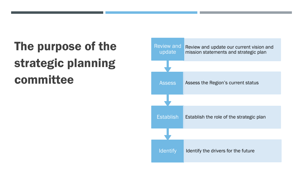# The purpose of the strategic planning committee

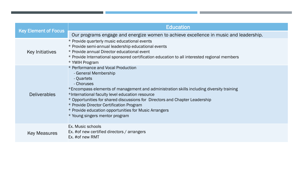| <b>Key Element of Focus</b> | <b>Education</b>                                                                                                                                                                                                                                                                                                                                                                                                                                            |  |  |  |
|-----------------------------|-------------------------------------------------------------------------------------------------------------------------------------------------------------------------------------------------------------------------------------------------------------------------------------------------------------------------------------------------------------------------------------------------------------------------------------------------------------|--|--|--|
|                             | Our programs engage and energize women to achieve excellence in music and leadership.                                                                                                                                                                                                                                                                                                                                                                       |  |  |  |
| Key Initiatives             | * Provide quarterly music educational events<br>* Provide semi-annual leadership educational events<br>* Provide annual Director educational event<br>* Provide International sponsored certification education to all interested regional members<br>* YWIH Program                                                                                                                                                                                        |  |  |  |
| <b>Deliverables</b>         | * Performance and Vocal Production<br>- General Membership<br>- Quartets<br>- Choruses<br>*Encompass elements of management and administration skills including diversity training<br>*International faculty level education resource<br>* Opportunities for shared discussions for Directors and Chapter Leadership<br>* Provide Director Certification Program<br>* Provide education opportunities for Music Arrangers<br>* Young singers mentor program |  |  |  |
| <b>Key Measures</b>         | Ex. Music schools<br>Ex. #of new certified directors / arrangers<br>Ex. #of new RMT                                                                                                                                                                                                                                                                                                                                                                         |  |  |  |

,一个人都是一个人的人,而且,他们的人都是不是,他们的人都是不是,他们的人都是不是,他们的人都是不是,他们的人都是不是,他们的人都是不是,他们的人都是不是,他们的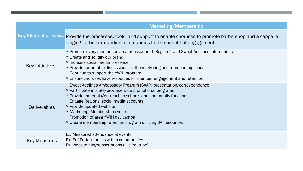| <b>Key Element of Focus</b> | Marketing/Membership                                                                                                                                                                                                                                                                                                                                                                                                   |  |  |
|-----------------------------|------------------------------------------------------------------------------------------------------------------------------------------------------------------------------------------------------------------------------------------------------------------------------------------------------------------------------------------------------------------------------------------------------------------------|--|--|
|                             | Provide the processes, tools, and support to enable choruses to promote barbershop and a cappella<br>singing to the surrounding communities for the benefit of engagement                                                                                                                                                                                                                                              |  |  |
| <b>Key Initiatives</b>      | * Promote every member as an ambassador of Region 2 and Sweet Adelines International<br>* Create and solidify our brand<br>* Increase social media presence<br>* Provide roundtable discussions for the marketing and membership leads<br>* Continue to support the YWIH program<br>* Ensure choruses have resources for member engagement and retention                                                               |  |  |
| <b>Deliverables</b>         | * Sweet Adelines Ambassador Program (SAAP) presentation/correspondence<br>* Participate in state/province wide promotional programs<br>* Provide materials/outreach to schools and community functions<br>* Engage Regional social media accounts<br>* Provide updated website<br>* Marketing/Membership events<br>* Promotion of area YWIH day camps<br>* Create membership retention program utilizing SAI resources |  |  |
| <b>Key Measures</b>         | Ex. Measured attendance at events<br>Ex. #of Performances within communities<br>Ex. Website hits/subscriptions (like Youtube)                                                                                                                                                                                                                                                                                          |  |  |